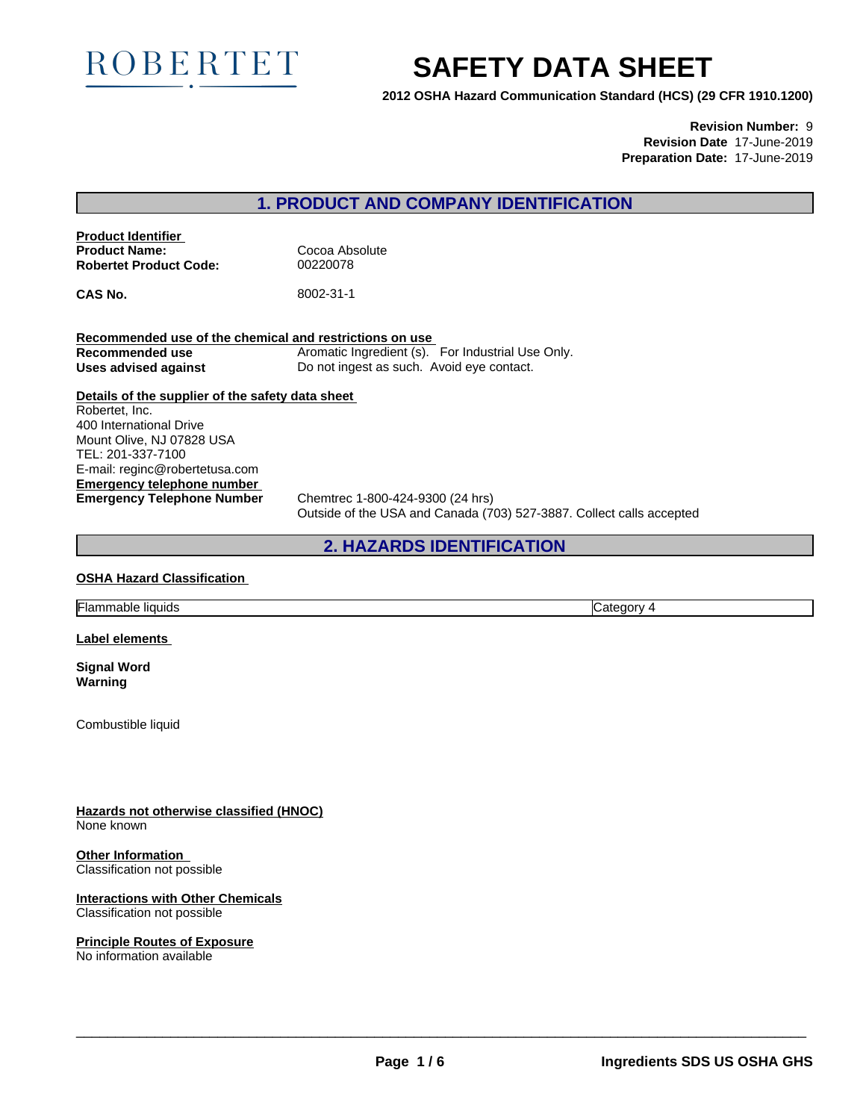

# **SAFETY DATA SHEET**

**2012 OSHA Hazard Communication Standard (HCS) (29 CFR 1910.1200)**

**Revision Number:** 9 **Revision Date** 17-June-2019 **Preparation Date:** 17-June-2019

# **1. PRODUCT AND COMPANY IDENTIFICATION**

**Product Identifier Product Name:** Cocoa Absolute **Robertet Product Code:** 00220078

**CAS No.** 8002-31-1

**Recommended use of the chemical and restrictions on use Recommended use** Aromatic Ingredient (s). For Industrial Use Only. Uses **advised against** Do not ingest as such. Avoid eye contact.

**Details of the supplier of the safety data sheet Emergency telephone number** Robertet, Inc. 400 International Drive Mount Olive, NJ 07828 USA TEL: 201-337-7100 E-mail: reginc@robertetusa.com

**Emergency Telephone Number** Chemtrec 1-800-424-9300 (24 hrs) Outside of the USA and Canada (703) 527-3887. Collect calls accepted

# **2. HAZARDS IDENTIFICATION**

#### **OSHA Hazard Classification**

Flammable liquids Category 4

**Label elements**

**Signal Word Warning**

Combustible liquid

**Hazards not otherwise classified (HNOC)** None known

**Other Information** Classification not possible

**Interactions with Other Chemicals** Classification not possible

# **Principle Routes of Exposure**

No information available

 $\overline{\phantom{a}}$  ,  $\overline{\phantom{a}}$  ,  $\overline{\phantom{a}}$  ,  $\overline{\phantom{a}}$  ,  $\overline{\phantom{a}}$  ,  $\overline{\phantom{a}}$  ,  $\overline{\phantom{a}}$  ,  $\overline{\phantom{a}}$  ,  $\overline{\phantom{a}}$  ,  $\overline{\phantom{a}}$  ,  $\overline{\phantom{a}}$  ,  $\overline{\phantom{a}}$  ,  $\overline{\phantom{a}}$  ,  $\overline{\phantom{a}}$  ,  $\overline{\phantom{a}}$  ,  $\overline{\phantom{a}}$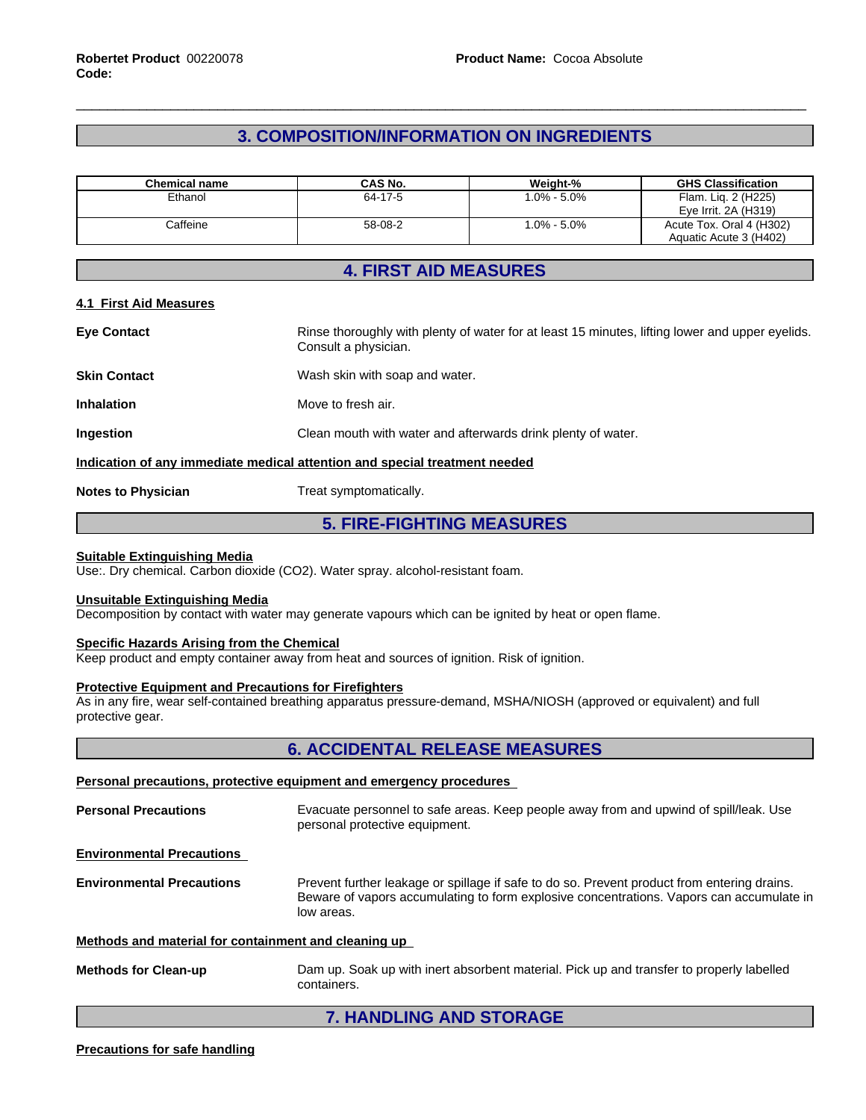# **3. COMPOSITION/INFORMATION ON INGREDIENTS**

| <b>Chemical name</b> | <b>CAS No.</b> | Weight-%       | <b>GHS Classification</b> |
|----------------------|----------------|----------------|---------------------------|
| Ethanol              | 64-17-5        | 0% - 5.0%      | Flam. Lig. 2 (H225)       |
|                      |                |                | Eve Irrit. 2A (H319)      |
| Caffeine             | 58-08-2        | $.0\% - 5.0\%$ | Acute Tox. Oral 4 (H302)  |
|                      |                |                | Aquatic Acute 3 (H402)    |

# **4. FIRST AID MEASURES**

#### **4.1 First Aid Measures**

| <b>Eye Contact</b>                                                         | Rinse thoroughly with plenty of water for at least 15 minutes, lifting lower and upper eyelids.<br>Consult a physician. |  |  |
|----------------------------------------------------------------------------|-------------------------------------------------------------------------------------------------------------------------|--|--|
| <b>Skin Contact</b>                                                        | Wash skin with soap and water.                                                                                          |  |  |
| <b>Inhalation</b>                                                          | Move to fresh air.                                                                                                      |  |  |
| <b>Ingestion</b>                                                           | Clean mouth with water and afterwards drink plenty of water.                                                            |  |  |
| Indication of any immediate medical attention and special treatment needed |                                                                                                                         |  |  |
| <b>Notes to Physician</b>                                                  | Treat symptomatically.                                                                                                  |  |  |

# **5. FIRE-FIGHTING MEASURES**

#### **Suitable Extinguishing Media**

Use:. Dry chemical. Carbon dioxide (CO2). Water spray. alcohol-resistant foam.

#### **Unsuitable Extinguishing Media**

Decomposition by contact with water may generate vapours which can be ignited by heat or open flame.

#### **Specific Hazards Arising from the Chemical**

Keep product and empty container away from heat and sources of ignition. Risk of ignition.

#### **Protective Equipment and Precautions for Firefighters**

As in any fire, wear self-contained breathing apparatus pressure-demand, MSHA/NIOSH (approved or equivalent) and full protective gear.

# **6. ACCIDENTAL RELEASE MEASURES**

#### **Personal precautions, protective equipment and emergency procedures**

**Personal Precautions** Evacuate personnel to safe areas. Keep people away from and upwind of spill/leak. Use personal protective equipment.

**Environmental Precautions**

**Environmental Precautions** Prevent further leakage or spillage if safe to do so. Prevent product from entering drains. Beware of vapors accumulating to form explosive concentrations. Vapors can accumulate in low areas.

#### **Methods and material for containment and cleaning up**

**Methods for Clean-up** Dam up. Soak up with inert absorbent material. Pick up and transfer to properly labelled containers.

# **7. HANDLING AND STORAGE**

#### **Precautions for safe handling**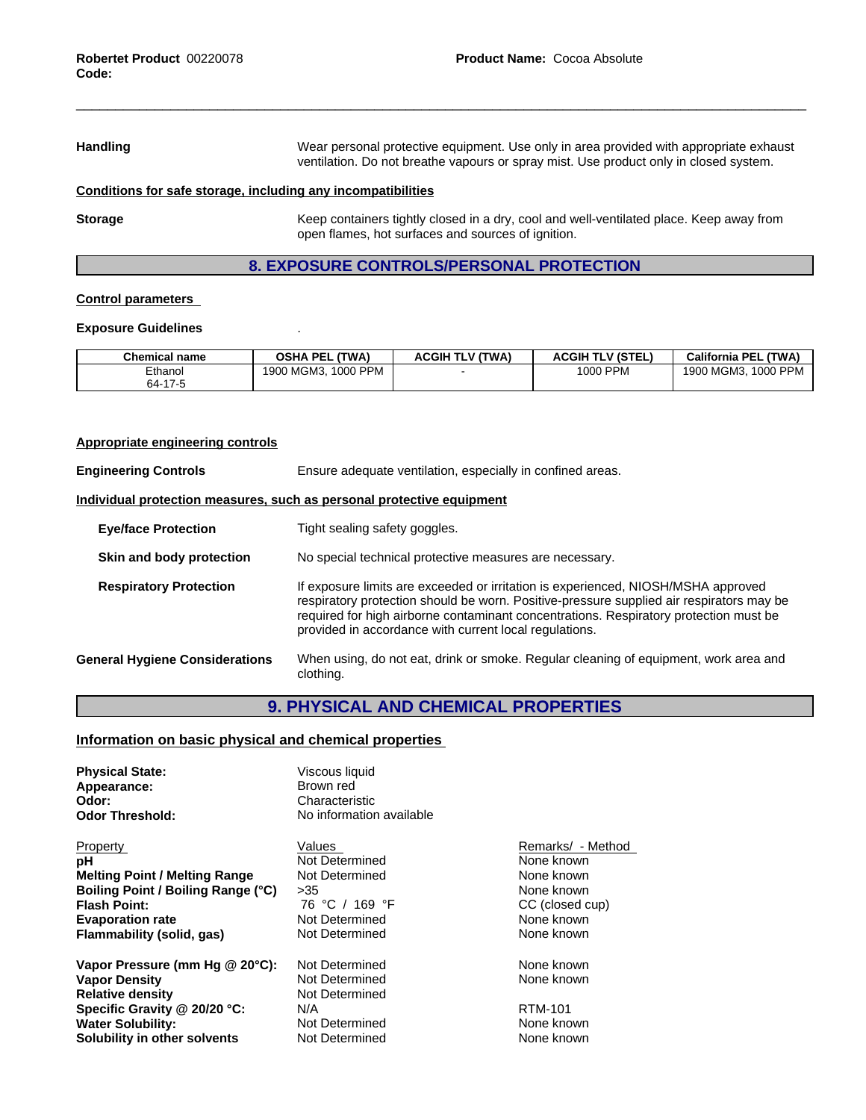Handling **Handling** Wear personal protective equipment. Use only in area provided with appropriate exhaust ventilation. Do not breathe vapours or spray mist. Use product only in closed system.

#### **Conditions for safe storage, including any incompatibilities**

**Storage** Keep containers tightly closed in a dry, cool and well-ventilated place. Keep away from open flames, hot surfaces and sources of ignition.

# **8. EXPOSURE CONTROLS/PERSONAL PROTECTION**

#### **Control parameters**

#### **Exposure Guidelines** .

| <b>Chemical name</b> | (TWA)<br>OSHA<br>PEL      | H TLV (TWA)<br><b>ACGII</b> | <b>ACGIH TLV (STEL)</b> | <b>California PE</b><br><b>(TWA)</b> |
|----------------------|---------------------------|-----------------------------|-------------------------|--------------------------------------|
| Ethanol              | 1000 PPM<br>MGM3.<br>1900 |                             | <b>PPM</b><br>1000      | 1000 PPM<br>I MGM3<br>1900           |
| $64-17$              |                           |                             |                         |                                      |

# **Appropriate engineering controls Engineering Controls** Ensure adequate ventilation, especially in confined areas. **Individual protection measures, such as personal protective equipment Eye/face Protection** Tight sealing safety goggles. **Skin and body protection** No special technical protective measures are necessary. **Respiratory Protection** If exposure limits are exceeded or irritation is experienced, NIOSH/MSHA approved respiratory protection should be worn. Positive-pressure supplied air respirators may be required for high airborne contaminant concentrations. Respiratory protection must be provided in accordance with current local regulations. **General Hygiene Considerations** When using, do not eat, drink or smoke. Regular cleaning of equipment, work area and clothing.

# **9. PHYSICAL AND CHEMICAL PROPERTIES**

#### **Information on basic physical and chemical properties**

| <b>Physical State:</b><br>Appearance:<br>Odor:<br><b>Odor Threshold:</b> | Viscous liquid<br>Brown red<br>Characteristic<br>No information available |                   |
|--------------------------------------------------------------------------|---------------------------------------------------------------------------|-------------------|
| Property                                                                 | Values                                                                    | Remarks/ - Method |
| рH                                                                       | Not Determined                                                            | None known        |
| <b>Melting Point / Melting Range</b>                                     | Not Determined                                                            | None known        |
| Boiling Point / Boiling Range (°C)                                       | >35                                                                       | None known        |
| <b>Flash Point:</b>                                                      | 76 °C / 169 °F                                                            | CC (closed cup)   |
| <b>Evaporation rate</b>                                                  | Not Determined                                                            | None known        |
| Flammability (solid, gas)                                                | Not Determined                                                            | None known        |
| Vapor Pressure (mm Hg @ 20°C):                                           | Not Determined                                                            | None known        |
| <b>Vapor Density</b>                                                     | Not Determined                                                            | None known        |
| <b>Relative density</b>                                                  | Not Determined                                                            |                   |
| Specific Gravity @ 20/20 °C:                                             | N/A                                                                       | <b>RTM-101</b>    |
| <b>Water Solubility:</b>                                                 | Not Determined                                                            | None known        |
| Solubility in other solvents                                             | Not Determined                                                            | None known        |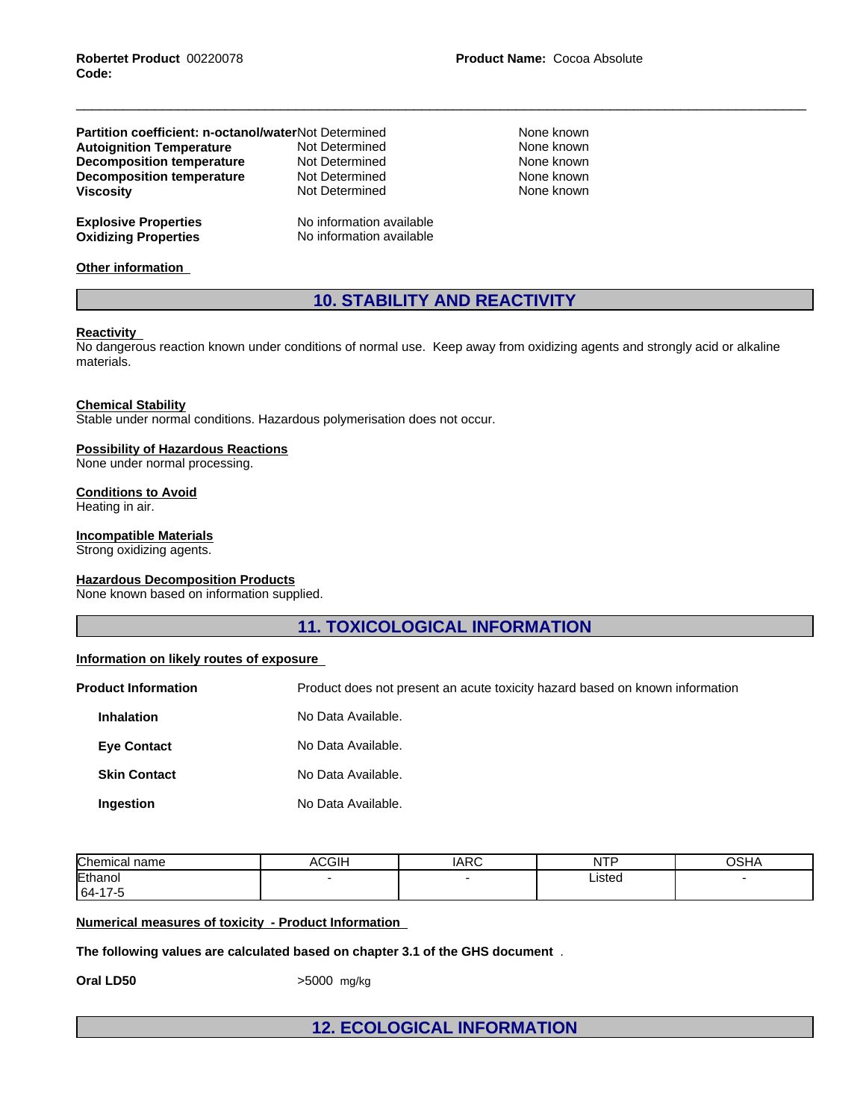| <b>Partition coefficient: n-octanol/waterNot Determined</b> |                                                      | None known |
|-------------------------------------------------------------|------------------------------------------------------|------------|
| <b>Autoignition Temperature</b>                             | Not Determined                                       | None known |
| <b>Decomposition temperature</b>                            | Not Determined                                       | None known |
| <b>Decomposition temperature</b>                            | Not Determined                                       | None known |
| <b>Viscosity</b>                                            | Not Determined                                       | None known |
| <b>Explosive Properties</b><br><b>Oxidizing Properties</b>  | No information available<br>No information available |            |

**Other information**

# **10. STABILITY AND REACTIVITY**

#### **Reactivity**

No dangerous reaction known under conditions of normal use. Keep away from oxidizing agents and strongly acid or alkaline materials.

**Chemical Stability** Stable under normal conditions. Hazardous polymerisation does not occur.

#### **Possibility of Hazardous Reactions**

None under normal processing.

#### **Conditions to Avoid**

Heating in air.

### **Incompatible Materials**

Strong oxidizing agents.

#### **Hazardous Decomposition Products**

None known based on information supplied.

**11. TOXICOLOGICAL INFORMATION**

#### **Information on likely routes of exposure**

**Product Information** Product does not present an acute toxicity hazard based on known information **Inhalation** No Data Available. **Eye Contact** No Data Available. **Skin Contact** No Data Available. **Ingestion** No Data Available.

| Chemical<br>name | ACGIH | ᅀᆷᅎ<br><b>IARC</b> | NTP    | $\sim$ $\sim$<br>. .<br>והכי |  |
|------------------|-------|--------------------|--------|------------------------------|--|
| Ethanol          |       |                    | Listed |                              |  |
| $ 64-17-5$       |       |                    |        |                              |  |

#### **Numerical measures of toxicity - Product Information**

**The following values are calculated based on chapter 3.1 of the GHS document** .

**Oral LD50**  $>5000$  mg/kg

**12. ECOLOGICAL INFORMATION**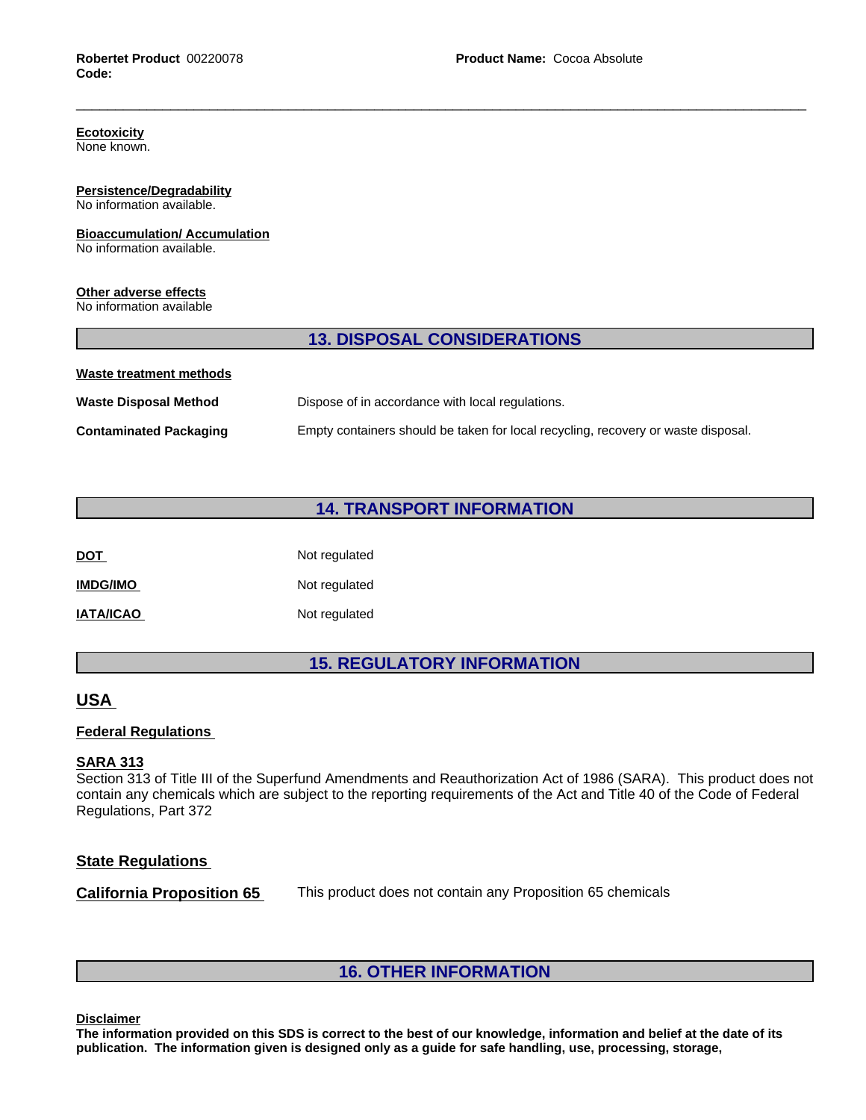# **Ecotoxicity**

None known.

#### **Persistence/Degradability** No information available.

# **Bioaccumulation/ Accumulation**

No information available.

### **Other adverse effects**

No information available

# **13. DISPOSAL CONSIDERATIONS**

| Waste treatment methods       |                                                                                   |
|-------------------------------|-----------------------------------------------------------------------------------|
| <b>Waste Disposal Method</b>  | Dispose of in accordance with local regulations.                                  |
| <b>Contaminated Packaging</b> | Empty containers should be taken for local recycling, recovery or waste disposal. |

# **14. TRANSPORT INFORMATION**

| <b>DOT</b>       | Not regulated |
|------------------|---------------|
| <b>IMDG/IMO</b>  | Not regulated |
| <b>IATA/ICAO</b> | Not regulated |

# **15. REGULATORY INFORMATION**

# **USA**

# **Federal Regulations**

### **SARA 313**

Section 313 of Title III of the Superfund Amendments and Reauthorization Act of 1986 (SARA). This product does not contain any chemicals which are subject to the reporting requirements of the Act and Title 40 of the Code of Federal Regulations, Part 372

# **State Regulations**

**California Proposition 65** This product does not contain any Proposition 65 chemicals

# **16. OTHER INFORMATION**

**Disclaimer**

The information provided on this SDS is correct to the best of our knowledge, information and belief at the date of its **publication. The information given isdesigned only as a guide for safe handling, use, processing, storage,**